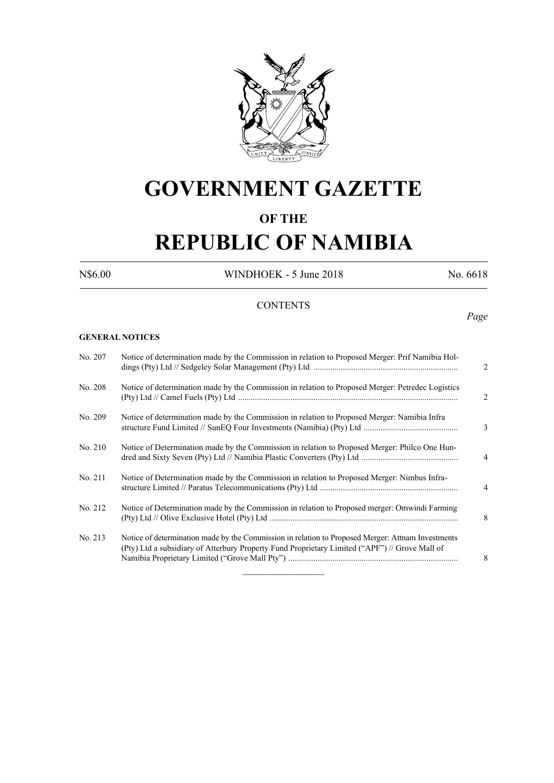

# **GOVERNMENT GAZETTE**

# **OF THE**

# **REPUBLIC OF NAMIBIA**

N\$6.00 WINDHOEK - 5 June 2018 No. 6618

# **CONTENTS**

# *Page*

#### **GENERAL NOTICES**

| No. 207 | Notice of determination made by the Commission in relation to Proposed Merger: Prif Namibia Hol-                                                                                                    | $\overline{2}$ |
|---------|-----------------------------------------------------------------------------------------------------------------------------------------------------------------------------------------------------|----------------|
| No. 208 | Notice of determination made by the Commission in relation to Proposed Merger: Petredec Logistics                                                                                                   | $\overline{2}$ |
| No. 209 | Notice of determination made by the Commission in relation to Proposed Merger: Namibia Infra                                                                                                        | 3              |
| No. 210 | Notice of Determination made by the Commission in relation to Proposed Merger: Philco One Hun-                                                                                                      | $\overline{4}$ |
| No. 211 | Notice of Determination made by the Commission in relation to Proposed Merger: Nimbus Infra-                                                                                                        | $\overline{4}$ |
| No. 212 | Notice of Determination made by the Commission in relation to Proposed merger: Omwindi Farming                                                                                                      | 8              |
| No. 213 | Notice of determination made by the Commission in relation to Proposed Merger: Attnam Investments<br>(Pty) Ltd a subsidiary of Atterbury Property Fund Proprietary Limited ("APF") // Grove Mall of | 8              |
|         |                                                                                                                                                                                                     |                |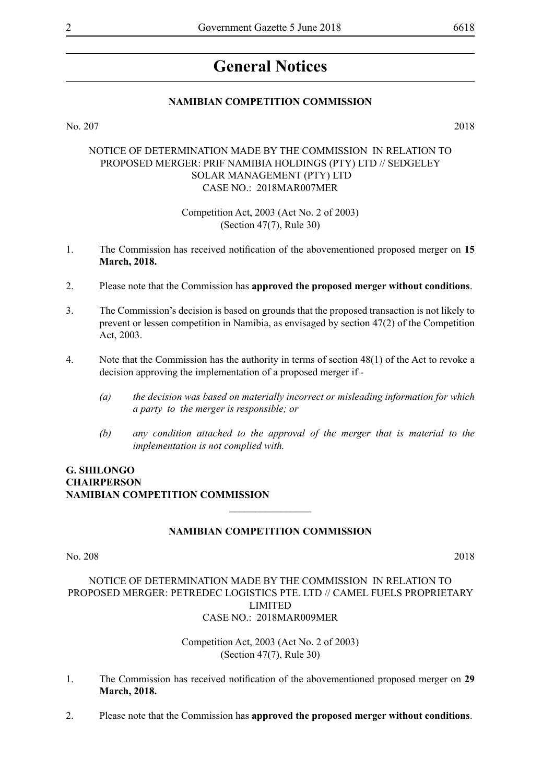# **General Notices**

#### **NAMIBIAN COMPETITION COMMISSION**

No. 207 2018

#### NOTICE OF DETERMINATION MADE BY THE COMMISSION IN RELATION TO PROPOSED MERGER: PRIF NAMIBIA HOLDINGS (PTY) LTD // SEDGELEY SOLAR MANAGEMENT (PTY) LTD CASE NO.: 2018MAR007MER

#### Competition Act, 2003 (Act No. 2 of 2003) (Section 47(7), Rule 30)

- 1. The Commission has received notification of the abovementioned proposed merger on **15 March, 2018.**
- 2. Please note that the Commission has **approved the proposed merger without conditions**.
- 3. The Commission's decision is based on grounds that the proposed transaction is not likely to prevent or lessen competition in Namibia, as envisaged by section 47(2) of the Competition Act, 2003.
- 4. Note that the Commission has the authority in terms of section 48(1) of the Act to revoke a decision approving the implementation of a proposed merger if -
	- *(a) the decision was based on materially incorrect or misleading information for which a party to the merger is responsible; or*
	- *(b) any condition attached to the approval of the merger that is material to the implementation is not complied with.*

# **G. Shilongo Chairperson Namibian Competition Commission**

#### **NAMIBIAN COMPETITION COMMISSION**

 $\overline{\phantom{a}}$  , where  $\overline{\phantom{a}}$ 

#### No. 208 2018

NOTICE OF DETERMINATION MADE BY THE COMMISSION IN RELATION TO PROPOSED MERGER: PETREDEC LOGISTICS PTE. LTD // CAMEL FUELS PROPRIETARY LIMITED CASE NO.: 2018MAR009MER

> Competition Act, 2003 (Act No. 2 of 2003) (Section 47(7), Rule 30)

- 1. The Commission has received notification of the abovementioned proposed merger on **29 March, 2018.**
- 2. Please note that the Commission has **approved the proposed merger without conditions**.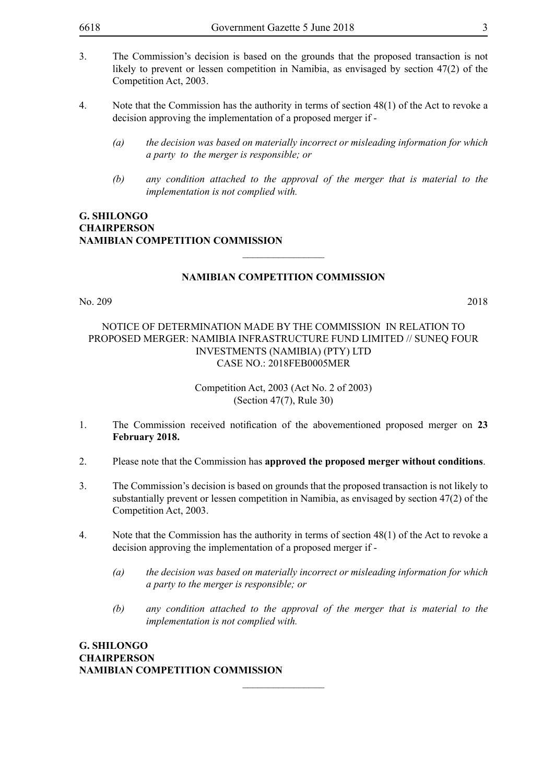- 3. The Commission's decision is based on the grounds that the proposed transaction is not likely to prevent or lessen competition in Namibia, as envisaged by section 47(2) of the Competition Act, 2003.
- 4. Note that the Commission has the authority in terms of section 48(1) of the Act to revoke a decision approving the implementation of a proposed merger if -
	- *(a) the decision was based on materially incorrect or misleading information for which a party to the merger is responsible; or*
	- *(b) any condition attached to the approval of the merger that is material to the implementation is not complied with.*

### **G. Shilongo Chairperson Namibian Competition Commission**

#### **NAMIBIAN COMPETITION COMMISSION**

 $\overline{\phantom{a}}$  , where  $\overline{\phantom{a}}$ 

No. 209 2018

#### NOTICE OF DETERMINATION MADE BY THE COMMISSION IN RELATION TO PROPOSED MERGER: NAMIBIA INFRASTRUCTURE FUND LIMITED // SUNEQ FOUR INVESTMENTS (NAMIBIA) (PTY) LTD CASE NO.: 2018FEB0005MER

Competition Act, 2003 (Act No. 2 of 2003) (Section 47(7), Rule 30)

- 1. The Commission received notification of the abovementioned proposed merger on **23 February 2018.**
- 2. Please note that the Commission has **approved the proposed merger without conditions**.
- 3. The Commission's decision is based on grounds that the proposed transaction is not likely to substantially prevent or lessen competition in Namibia, as envisaged by section 47(2) of the Competition Act, 2003.
- 4. Note that the Commission has the authority in terms of section 48(1) of the Act to revoke a decision approving the implementation of a proposed merger if -

 $\frac{1}{2}$ 

- *(a) the decision was based on materially incorrect or misleading information for which a party to the merger is responsible; or*
- *(b) any condition attached to the approval of the merger that is material to the implementation is not complied with.*

**G. Shilongo Chairperson Namibian Competition Commission**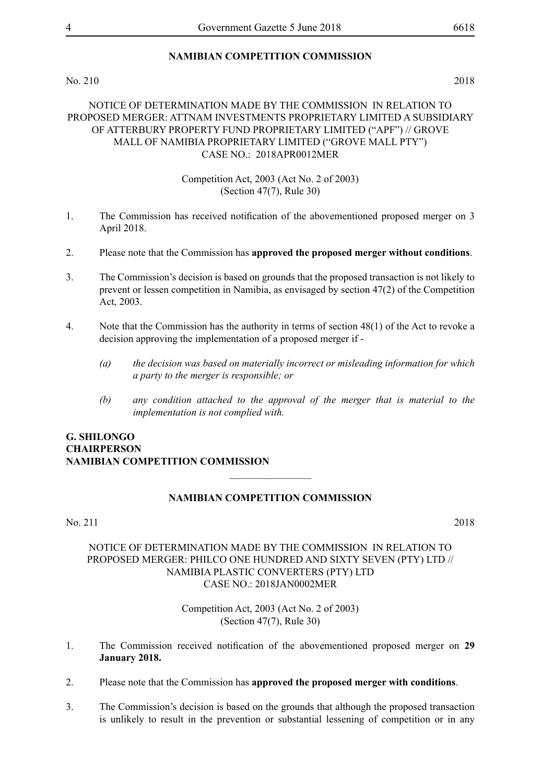# **NAMIBIAN COMPETITION COMMISSION**

#### No. 210 2018

# NOTICE OF DETERMINATION MADE BY THE COMMISSION IN RELATION TO PROPOSED MERGER: ATTNAM INVESTMENTS PROPRIETARY LIMITED A SUBSIDIARY OF ATTERBURY PROPERTY FUND PROPRIETARY LIMITED ("APF") // GROVE MALL OF NAMIBIA PROPRIETARY LIMITED ("GROVE MALL PTY") CASE NO.: 2018APR0012MER

### Competition Act, 2003 (Act No. 2 of 2003) (Section 47(7), Rule 30)

- 1. The Commission has received notification of the abovementioned proposed merger on 3 April 2018.
- 2. Please note that the Commission has **approved the proposed merger without conditions**.
- 3. The Commission's decision is based on grounds that the proposed transaction is not likely to prevent or lessen competition in Namibia, as envisaged by section 47(2) of the Competition Act, 2003.
- 4. Note that the Commission has the authority in terms of section 48(1) of the Act to revoke a decision approving the implementation of a proposed merger if -
	- *(a) the decision was based on materially incorrect or misleading information for which a party to the merger is responsible; or*
	- *(b) any condition attached to the approval of the merger that is material to the implementation is not complied with.*

# **G. Shilongo Chairperson Namibian Competition Commission**

# **NAMIBIAN COMPETITION COMMISSION**

 $\overline{\phantom{a}}$  , where  $\overline{\phantom{a}}$ 

#### No. 211 2018

# NOTICE OF DETERMINATION MADE BY THE COMMISSION IN RELATION TO PROPOSED MERGER: PHILCO ONE HUNDRED AND SIXTY SEVEN (PTY) LTD // NAMIBIA PLASTIC CONVERTERS (PTY) LTD CASE NO.: 2018JAN0002MER

Competition Act, 2003 (Act No. 2 of 2003) (Section 47(7), Rule 30)

- 1. The Commission received notification of the abovementioned proposed merger on **29 January 2018.**
- 2. Please note that the Commission has **approved the proposed merger with conditions**.
- 3. The Commission's decision is based on the grounds that although the proposed transaction is unlikely to result in the prevention or substantial lessening of competition or in any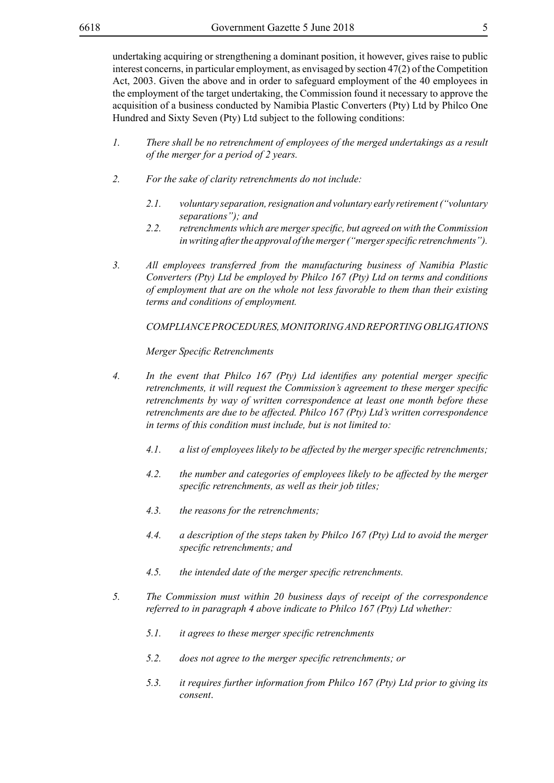undertaking acquiring or strengthening a dominant position, it however, gives raise to public interest concerns, in particular employment, as envisaged by section 47(2) of the Competition Act, 2003. Given the above and in order to safeguard employment of the 40 employees in the employment of the target undertaking, the Commission found it necessary to approve the acquisition of a business conducted by Namibia Plastic Converters (Pty) Ltd by Philco One Hundred and Sixty Seven (Pty) Ltd subject to the following conditions:

- *1. There shall be no retrenchment of employees of the merged undertakings as a result of the merger for a period of 2 years.*
- *2. For the sake of clarity retrenchments do not include:* 
	- *2.1. voluntary separation, resignation and voluntary early retirement ("voluntary separations"); and*
	- *2.2. retrenchments which are mergerspecific, but agreed on with the Commission in writing after the approval of the merger ("merger specific retrenchments").*
- *3. All employees transferred from the manufacturing business of Namibia Plastic Converters (Pty) Ltd be employed by Philco 167 (Pty) Ltd on terms and conditions of employment that are on the whole not less favorable to them than their existing terms and conditions of employment.*

*COMPLIANCEPROCEDURES,MONITORINGANDREPORTINGOBLIGATIONS*

*Merger Specific Retrenchments*

- *4. In the event that Philco 167 (Pty) Ltd identifies any potential merger specific retrenchments, it will request the Commission's agreement to these merger specific retrenchments by way of written correspondence at least one month before these retrenchments are due to be affected. Philco 167 (Pty) Ltd's written correspondence in terms of this condition must include, but is not limited to:*
	- *4.1. a list of employees likely to be affected by the merger specific retrenchments;*
	- *4.2. the number and categories of employees likely to be affected by the merger specific retrenchments, as well as their job titles;*
	- *4.3. the reasons for the retrenchments;*
	- *4.4. a description of the steps taken by Philco 167 (Pty) Ltd to avoid the merger specific retrenchments; and*
	- *4.5. the intended date of the merger specific retrenchments.*
- *5. The Commission must within 20 business days of receipt of the correspondence referred to in paragraph 4 above indicate to Philco 167 (Pty) Ltd whether:*
	- *5.1. it agrees to these merger specific retrenchments*
	- *5.2. does not agree to the merger specific retrenchments; or*
	- *5.3. it requires further information from Philco 167 (Pty) Ltd prior to giving its consent*.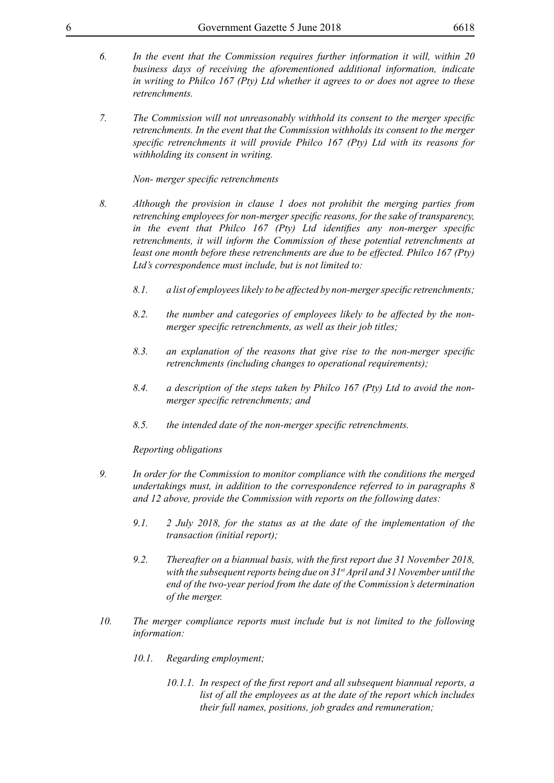- 
- *6. In the event that the Commission requires further information it will, within 20 business days of receiving the aforementioned additional information, indicate in writing to Philco 167 (Pty) Ltd whether it agrees to or does not agree to these retrenchments.*
- *7. The Commission will not unreasonably withhold its consent to the merger specific retrenchments. In the event that the Commission withholds its consent to the merger specific retrenchments it will provide Philco 167 (Pty) Ltd with its reasons for withholding its consent in writing.*

*Non- merger specific retrenchments*

- *8. Although the provision in clause 1 does not prohibit the merging parties from retrenching employees for non-merger specific reasons, for the sake of transparency, in the event that Philco 167 (Pty) Ltd identifies any non-merger specific retrenchments, it will inform the Commission of these potential retrenchments at least one month before these retrenchments are due to be effected. Philco 167 (Pty) Ltd's correspondence must include, but is not limited to:*
	- *8.1. a list of employeeslikely to be affected by non-mergerspecific retrenchments;*
	- *8.2. the number and categories of employees likely to be affected by the nonmerger specific retrenchments, as well as their job titles;*
	- *8.3. an explanation of the reasons that give rise to the non-merger specific retrenchments (including changes to operational requirements);*
	- *8.4. a description of the steps taken by Philco 167 (Pty) Ltd to avoid the nonmerger specific retrenchments; and*
	- *8.5. the intended date of the non-merger specific retrenchments.*

*Reporting obligations*

- *9. In order for the Commission to monitor compliance with the conditions the merged undertakings must, in addition to the correspondence referred to in paragraphs 8 and 12 above, provide the Commission with reports on the following dates:*
	- *9.1. 2 July 2018, for the status as at the date of the implementation of the transaction (initial report);*
	- *9.2. Thereafter on a biannual basis, with the first report due 31 November 2018, with the subsequent reports being due on 31st April and 31 November until the end of the two-year period from the date of the Commission's determination of the merger.*
- *10. The merger compliance reports must include but is not limited to the following information:*
	- *10.1. Regarding employment;*
		- *10.1.1. In respect of the first report and all subsequent biannual reports, a list of all the employees as at the date of the report which includes their full names, positions, job grades and remuneration;*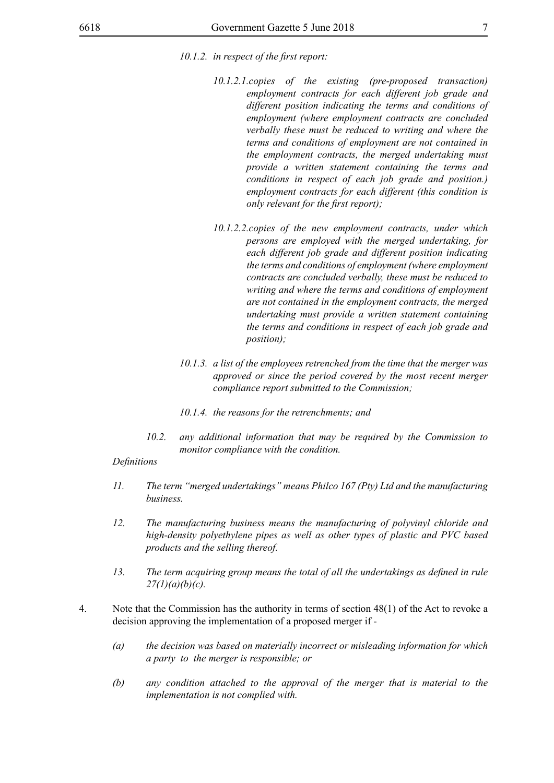- *10.1.2.1.copies of the existing (pre-proposed transaction) employment contracts for each different job grade and different position indicating the terms and conditions of employment (where employment contracts are concluded verbally these must be reduced to writing and where the terms and conditions of employment are not contained in the employment contracts, the merged undertaking must provide a written statement containing the terms and conditions in respect of each job grade and position.) employment contracts for each different (this condition is only relevant for the first report);*
- *10.1.2.2.copies of the new employment contracts, under which persons are employed with the merged undertaking, for each different job grade and different position indicating the terms and conditions of employment (where employment contracts are concluded verbally, these must be reduced to writing and where the terms and conditions of employment are not contained in the employment contracts, the merged undertaking must provide a written statement containing the terms and conditions in respect of each job grade and position);*
- *10.1.3. a list of the employees retrenched from the time that the merger was approved or since the period covered by the most recent merger compliance report submitted to the Commission;*
- *10.1.4. the reasons for the retrenchments; and*
- *10.2. any additional information that may be required by the Commission to monitor compliance with the condition.*

#### *Definitions*

- *11. The term "merged undertakings" means Philco 167 (Pty) Ltd and the manufacturing business.*
- *12. The manufacturing business means the manufacturing of polyvinyl chloride and high-density polyethylene pipes as well as other types of plastic and PVC based products and the selling thereof.*
- *13. The term acquiring group means the total of all the undertakings as defined in rule 27(1)(a)(b)(c).*
- 4. Note that the Commission has the authority in terms of section 48(1) of the Act to revoke a decision approving the implementation of a proposed merger if -
	- *(a) the decision was based on materially incorrect or misleading information for which a party to the merger is responsible; or*
	- *(b) any condition attached to the approval of the merger that is material to the implementation is not complied with.*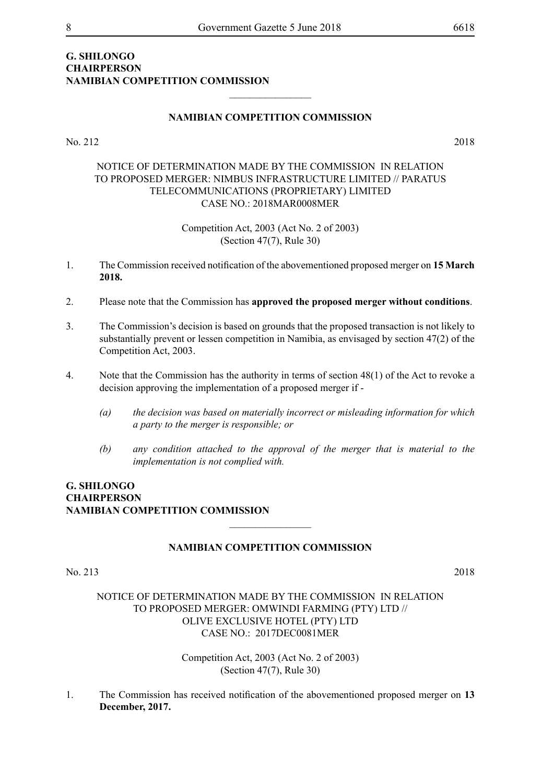# **G. Shilongo Chairperson Namibian Competition Commission**

## **NAMIBIAN COMPETITION COMMISSION**

 $\frac{1}{2}$ 

No. 212 2018

# NOTICE OF DETERMINATION MADE BY THE COMMISSION IN RELATION TO PROPOSED MERGER: NIMBUS INFRASTRUCTURE LIMITED // PARATUS TELECOMMUNICATIONS (PROPRIETARY) LIMITED CASE NO.: 2018MAR0008MER

Competition Act, 2003 (Act No. 2 of 2003) (Section 47(7), Rule 30)

- 1. The Commission received notification of the abovementioned proposed merger on **15 March 2018.**
- 2. Please note that the Commission has **approved the proposed merger without conditions**.
- 3. The Commission's decision is based on grounds that the proposed transaction is not likely to substantially prevent or lessen competition in Namibia, as envisaged by section 47(2) of the Competition Act, 2003.
- 4. Note that the Commission has the authority in terms of section 48(1) of the Act to revoke a decision approving the implementation of a proposed merger if -
	- *(a) the decision was based on materially incorrect or misleading information for which a party to the merger is responsible; or*
	- *(b) any condition attached to the approval of the merger that is material to the implementation is not complied with.*

# **G. Shilongo Chairperson Namibian Competition Commission**

#### **NAMIBIAN COMPETITION COMMISSION**

 $\overline{\phantom{a}}$  , where  $\overline{\phantom{a}}$ 

### No. 213 2018

NOTICE OF DETERMINATION MADE BY THE COMMISSION IN RELATION TO PROPOSED MERGER: OMWINDI FARMING (PTY) LTD // OLIVE EXCLUSIVE HOTEL (PTY) LTD CASE NO.: 2017DEC0081MER

> Competition Act, 2003 (Act No. 2 of 2003) (Section 47(7), Rule 30)

1. The Commission has received notification of the abovementioned proposed merger on **13 December, 2017.**